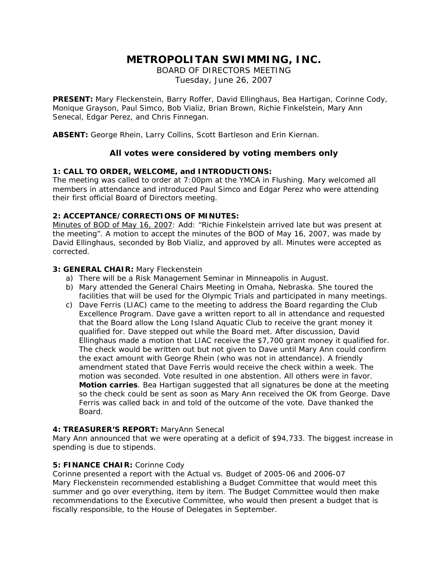# **METROPOLITAN SWIMMING, INC.**

BOARD OF DIRECTORS MEETING Tuesday, June 26, 2007

**PRESENT:** Mary Fleckenstein, Barry Roffer, David Ellinghaus, Bea Hartigan, Corinne Cody, Monique Grayson, Paul Simco, Bob Vializ, Brian Brown, Richie Finkelstein, Mary Ann Senecal, Edgar Perez, and Chris Finnegan.

**ABSENT:** George Rhein, Larry Collins, Scott Bartleson and Erin Kiernan.

# **All votes were considered by voting members only**

## **1: CALL TO ORDER, WELCOME, and INTRODUCTIONS:**

The meeting was called to order at 7:00pm at the YMCA in Flushing. Mary welcomed all members in attendance and introduced Paul Simco and Edgar Perez who were attending their first official Board of Directors meeting.

#### **2: ACCEPTANCE/CORRECTIONS OF MINUTES:**

Minutes of BOD of May 16, 2007: Add: "Richie Finkelstein arrived late but was present at the meeting". A motion to accept the minutes of the BOD of May 16, 2007, was made by David Ellinghaus, seconded by Bob Vializ, and approved by all. Minutes were accepted as corrected.

## **3: GENERAL CHAIR:** Mary Fleckenstein

- a) There will be a Risk Management Seminar in Minneapolis in August.
- b) Mary attended the General Chairs Meeting in Omaha, Nebraska. She toured the facilities that will be used for the Olympic Trials and participated in many meetings.
- c) Dave Ferris (LIAC) came to the meeting to address the Board regarding the Club Excellence Program. Dave gave a written report to all in attendance and requested that the Board allow the Long Island Aquatic Club to receive the grant money it qualified for. Dave stepped out while the Board met. After discussion, David Ellinghaus made a motion that LIAC receive the \$7,700 grant money it qualified for. The check would be written out but not given to Dave until Mary Ann could confirm the exact amount with George Rhein (who was not in attendance). A friendly amendment stated that Dave Ferris would receive the check within a week. The motion was seconded. Vote resulted in one abstention. All others were in favor. **Motion carries**. Bea Hartigan suggested that all signatures be done at the meeting so the check could be sent as soon as Mary Ann received the OK from George. Dave Ferris was called back in and told of the outcome of the vote. Dave thanked the Board.

#### **4: TREASURER'S REPORT:** MaryAnn Senecal

Mary Ann announced that we were operating at a deficit of \$94,733. The biggest increase in spending is due to stipends.

#### **5: FINANCE CHAIR:** Corinne Cody

Corinne presented a report with the Actual vs. Budget of 2005-06 and 2006-07 Mary Fleckenstein recommended establishing a Budget Committee that would meet this summer and go over everything, item by item. The Budget Committee would then make recommendations to the Executive Committee, who would then present a budget that is fiscally responsible, to the House of Delegates in September.